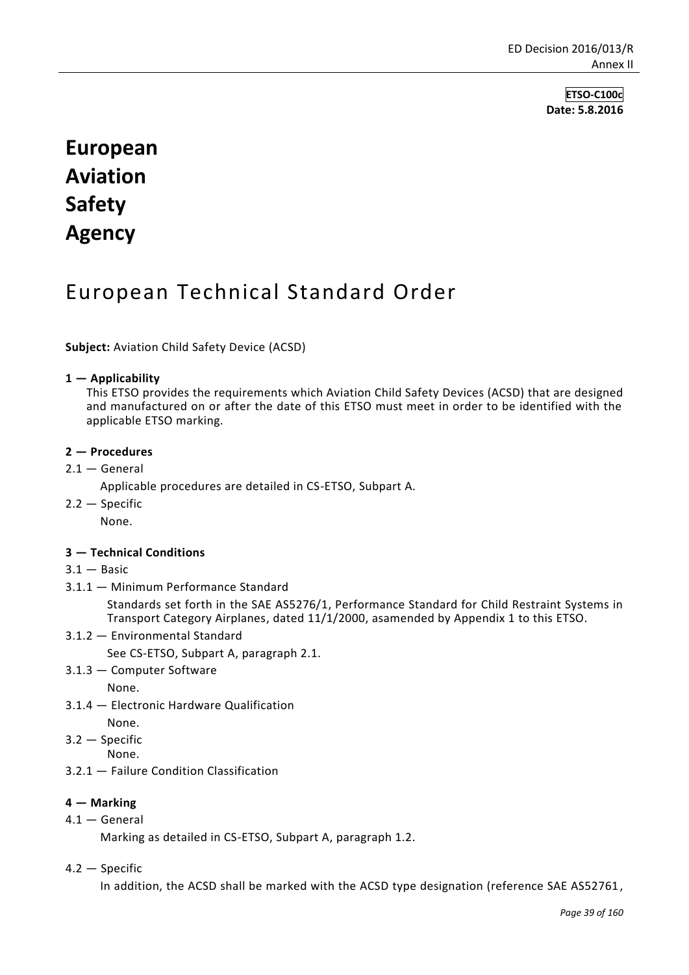**ETSO-C100c Date: 5.8.2016**

# **European Aviation Safety Agency**

# European Technical Standard Order

**Subject:** Aviation Child Safety Device (ACSD)

#### **1 — Applicability**

This ETSO provides the requirements which Aviation Child Safety Devices (ACSD) that are designed and manufactured on or after the date of this ETSO must meet in order to be identified with the applicable ETSO marking.

#### **2 — Procedures**

 $2.1 -$  General

Applicable procedures are detailed in CS-ETSO, Subpart A.

2.2 — Specific

None.

#### **3 — Technical Conditions**

- $3.1 -$  Basic
- 3.1.1 Minimum Performance Standard

Standards set forth in the SAE AS5276/1, Performance Standard for Child Restraint Systems in Transport Category Airplanes, dated 11/1/2000, asamended by Appendix 1 to this ETSO.

3.1.2 — Environmental Standard

See CS-ETSO, Subpart A, paragraph 2.1.

3.1.3 — Computer Software

None.

3.1.4 — Electronic Hardware Qualification

None.

- 3.2 Specific
	- None.
- 3.2.1 Failure Condition Classification

#### **4 — Marking**

4.1 — General

Marking as detailed in CS-ETSO, Subpart A, paragraph 1.2.

4.2 — Specific

In addition, the ACSD shall be marked with the ACSD type designation (reference SAE AS52761,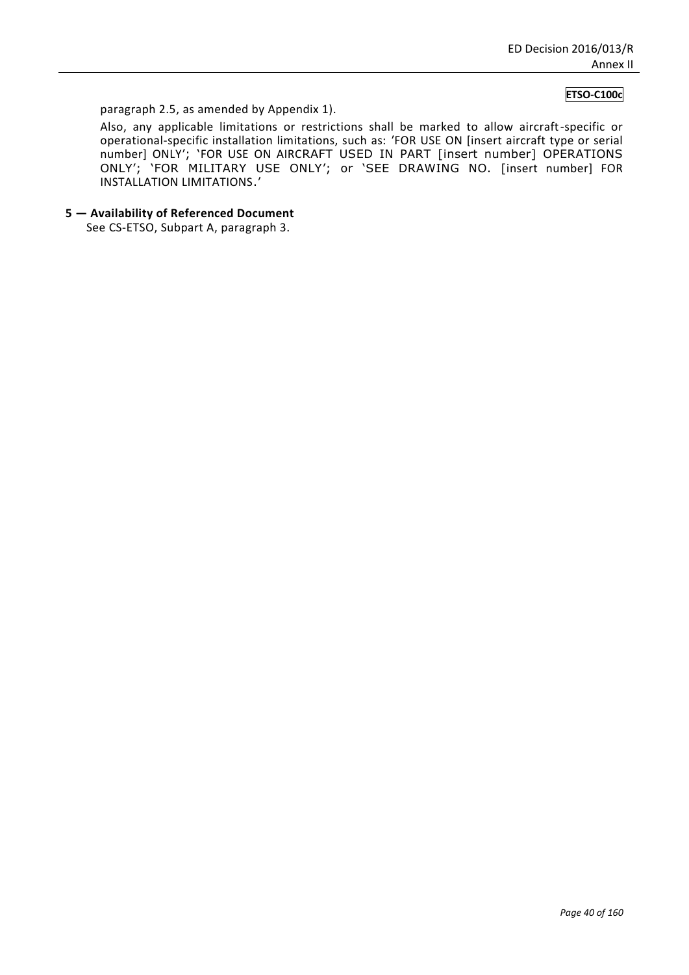#### **ETSO-C100c**

paragraph 2.5, as amended by Appendix 1).

Also, any applicable limitations or restrictions shall be marked to allow aircraft-specific or operational-specific installation limitations, such as: 'FOR USE ON [insert aircraft type or serial number] ONLY'; 'FOR USE ON AIRCRAFT USED IN PART [insert number] OPERATIONS ONLY'; 'FOR MILITARY USE ONLY'; or 'SEE DRAWING NO. [insert number] FOR INSTALLATION LIMITATIONS.'

**5 — Availability of Referenced Document**

See CS-ETSO, Subpart A, paragraph 3.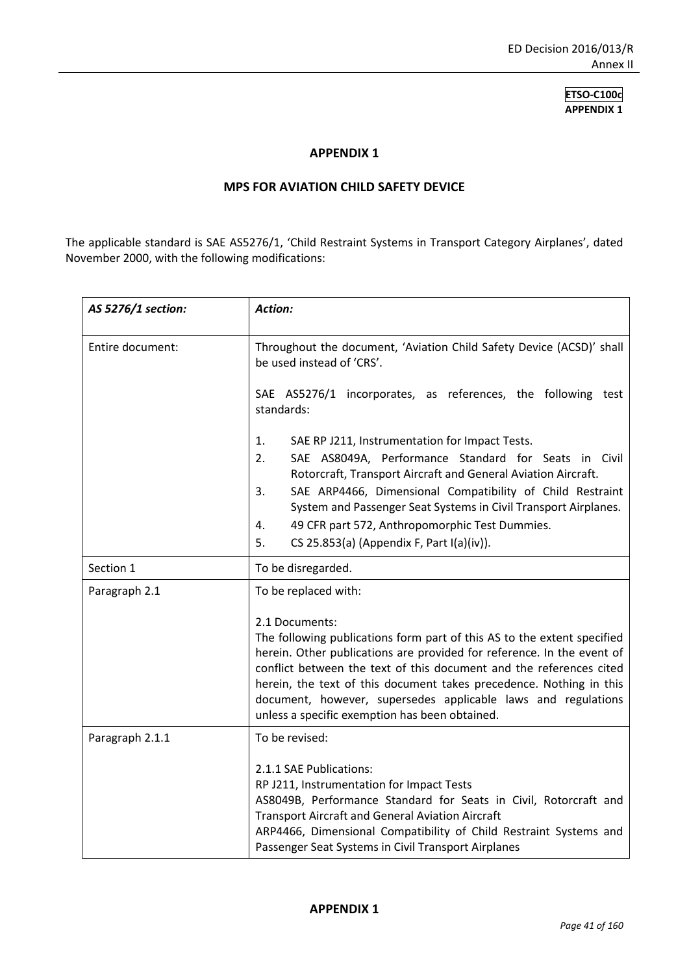#### **APPENDIX 1**

#### **MPS FOR AVIATION CHILD SAFETY DEVICE**

The applicable standard is SAE AS5276/1, 'Child Restraint Systems in Transport Category Airplanes', dated November 2000, with the following modifications:

| AS 5276/1 section: | Action:                                                                                                                                       |
|--------------------|-----------------------------------------------------------------------------------------------------------------------------------------------|
| Entire document:   | Throughout the document, 'Aviation Child Safety Device (ACSD)' shall<br>be used instead of 'CRS'.                                             |
|                    | SAE AS5276/1 incorporates, as references, the following test<br>standards:                                                                    |
|                    | 1.<br>SAE RP J211, Instrumentation for Impact Tests.                                                                                          |
|                    | SAE AS8049A, Performance Standard for Seats in Civil<br>2.<br>Rotorcraft, Transport Aircraft and General Aviation Aircraft.                   |
|                    | SAE ARP4466, Dimensional Compatibility of Child Restraint<br>3.<br>System and Passenger Seat Systems in Civil Transport Airplanes.            |
|                    | 49 CFR part 572, Anthropomorphic Test Dummies.<br>4.                                                                                          |
|                    | CS 25.853(a) (Appendix F, Part I(a)(iv)).<br>5.                                                                                               |
| Section 1          | To be disregarded.                                                                                                                            |
| Paragraph 2.1      | To be replaced with:                                                                                                                          |
|                    | 2.1 Documents:                                                                                                                                |
|                    | The following publications form part of this AS to the extent specified                                                                       |
|                    | herein. Other publications are provided for reference. In the event of<br>conflict between the text of this document and the references cited |
|                    | herein, the text of this document takes precedence. Nothing in this                                                                           |
|                    | document, however, supersedes applicable laws and regulations                                                                                 |
|                    | unless a specific exemption has been obtained.                                                                                                |
| Paragraph 2.1.1    | To be revised:                                                                                                                                |
|                    | 2.1.1 SAE Publications:                                                                                                                       |
|                    | RP J211, Instrumentation for Impact Tests<br>AS8049B, Performance Standard for Seats in Civil, Rotorcraft and                                 |
|                    | <b>Transport Aircraft and General Aviation Aircraft</b>                                                                                       |
|                    | ARP4466, Dimensional Compatibility of Child Restraint Systems and                                                                             |
|                    | Passenger Seat Systems in Civil Transport Airplanes                                                                                           |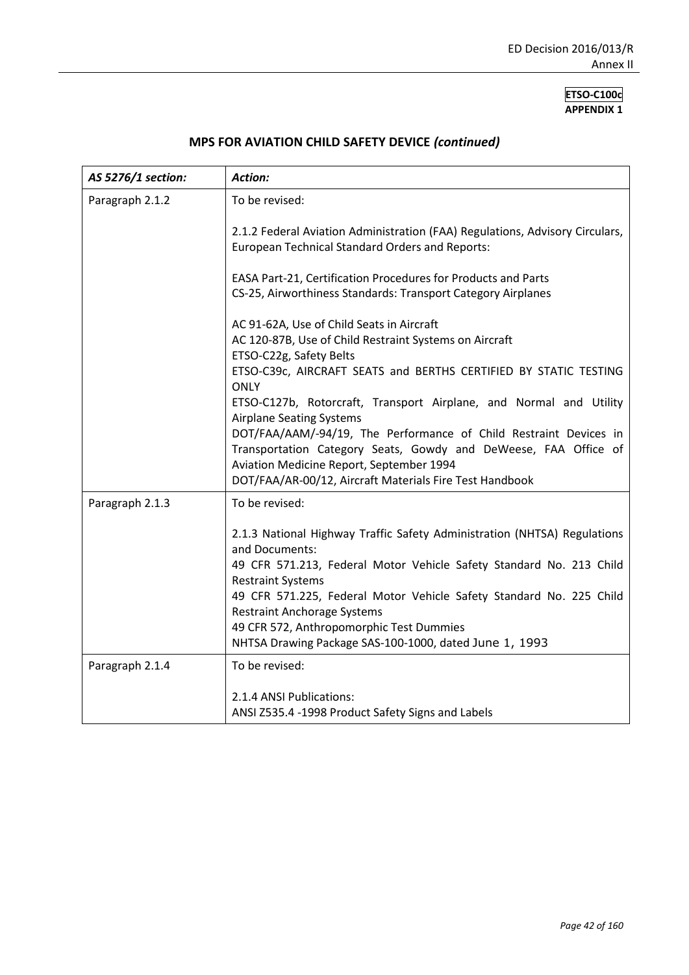| AS 5276/1 section: | Action:                                                                                                                                                                                                                                                                                                                                                                                                                                                                                                                                                                   |
|--------------------|---------------------------------------------------------------------------------------------------------------------------------------------------------------------------------------------------------------------------------------------------------------------------------------------------------------------------------------------------------------------------------------------------------------------------------------------------------------------------------------------------------------------------------------------------------------------------|
| Paragraph 2.1.2    | To be revised:                                                                                                                                                                                                                                                                                                                                                                                                                                                                                                                                                            |
|                    | 2.1.2 Federal Aviation Administration (FAA) Regulations, Advisory Circulars,<br><b>European Technical Standard Orders and Reports:</b>                                                                                                                                                                                                                                                                                                                                                                                                                                    |
|                    | EASA Part-21, Certification Procedures for Products and Parts<br>CS-25, Airworthiness Standards: Transport Category Airplanes                                                                                                                                                                                                                                                                                                                                                                                                                                             |
|                    | AC 91-62A, Use of Child Seats in Aircraft<br>AC 120-87B, Use of Child Restraint Systems on Aircraft<br>ETSO-C22g, Safety Belts<br>ETSO-C39c, AIRCRAFT SEATS and BERTHS CERTIFIED BY STATIC TESTING<br><b>ONLY</b><br>ETSO-C127b, Rotorcraft, Transport Airplane, and Normal and Utility<br><b>Airplane Seating Systems</b><br>DOT/FAA/AAM/-94/19, The Performance of Child Restraint Devices in<br>Transportation Category Seats, Gowdy and DeWeese, FAA Office of<br>Aviation Medicine Report, September 1994<br>DOT/FAA/AR-00/12, Aircraft Materials Fire Test Handbook |
| Paragraph 2.1.3    | To be revised:<br>2.1.3 National Highway Traffic Safety Administration (NHTSA) Regulations<br>and Documents:<br>49 CFR 571.213, Federal Motor Vehicle Safety Standard No. 213 Child<br><b>Restraint Systems</b><br>49 CFR 571.225, Federal Motor Vehicle Safety Standard No. 225 Child<br><b>Restraint Anchorage Systems</b><br>49 CFR 572, Anthropomorphic Test Dummies<br>NHTSA Drawing Package SAS-100-1000, dated June 1, 1993                                                                                                                                        |
| Paragraph 2.1.4    | To be revised:<br>2.1.4 ANSI Publications:<br>ANSI Z535.4 -1998 Product Safety Signs and Labels                                                                                                                                                                                                                                                                                                                                                                                                                                                                           |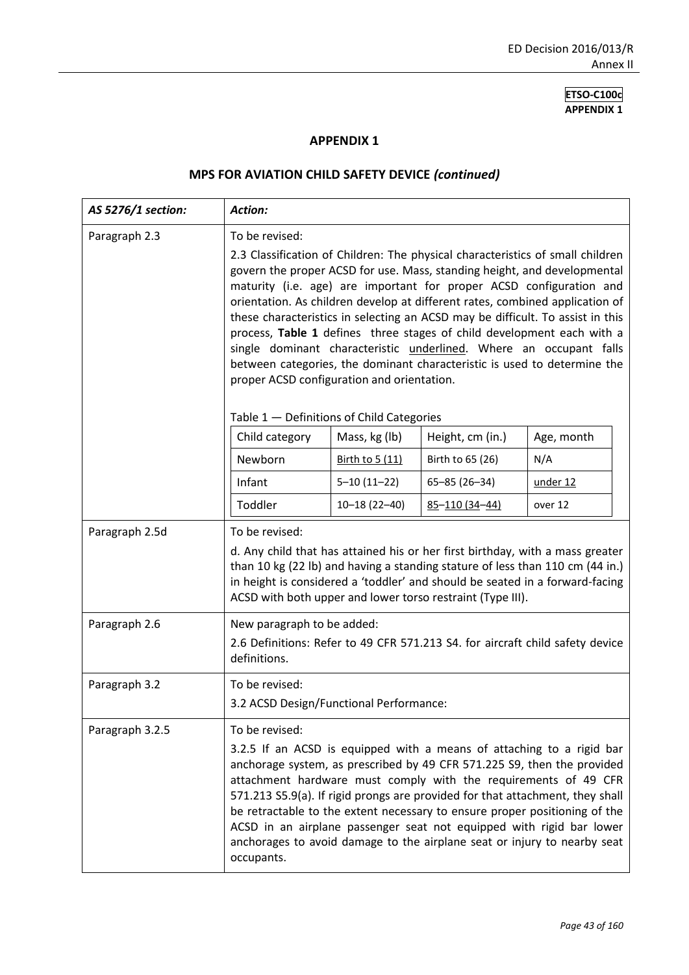#### **APPENDIX 1**

| AS 5276/1 section: | <b>Action:</b>                                                                                                                                                                                                                                                                                                                                                                                                                                                                                                                                                                                                                                                                                  |                                  |                                      |                   |
|--------------------|-------------------------------------------------------------------------------------------------------------------------------------------------------------------------------------------------------------------------------------------------------------------------------------------------------------------------------------------------------------------------------------------------------------------------------------------------------------------------------------------------------------------------------------------------------------------------------------------------------------------------------------------------------------------------------------------------|----------------------------------|--------------------------------------|-------------------|
| Paragraph 2.3      | To be revised:<br>2.3 Classification of Children: The physical characteristics of small children<br>govern the proper ACSD for use. Mass, standing height, and developmental<br>maturity (i.e. age) are important for proper ACSD configuration and<br>orientation. As children develop at different rates, combined application of<br>these characteristics in selecting an ACSD may be difficult. To assist in this<br>process, Table 1 defines three stages of child development each with a<br>single dominant characteristic underlined. Where an occupant falls<br>between categories, the dominant characteristic is used to determine the<br>proper ACSD configuration and orientation. |                                  |                                      |                   |
|                    | Table 1 - Definitions of Child Categories                                                                                                                                                                                                                                                                                                                                                                                                                                                                                                                                                                                                                                                       |                                  |                                      |                   |
|                    | Child category<br>Newborn                                                                                                                                                                                                                                                                                                                                                                                                                                                                                                                                                                                                                                                                       | Mass, kg (lb)<br>Birth to 5 (11) | Height, cm (in.)<br>Birth to 65 (26) | Age, month<br>N/A |
|                    | Infant                                                                                                                                                                                                                                                                                                                                                                                                                                                                                                                                                                                                                                                                                          | $5 - 10(11 - 22)$                | $65 - 85$ (26-34)                    | under 12          |
|                    | Toddler                                                                                                                                                                                                                                                                                                                                                                                                                                                                                                                                                                                                                                                                                         | $10 - 18(22 - 40)$               | $85 - 110(34 - 44)$                  | over 12           |
| Paragraph 2.5d     | To be revised:<br>d. Any child that has attained his or her first birthday, with a mass greater<br>than 10 kg (22 lb) and having a standing stature of less than 110 cm (44 in.)<br>in height is considered a 'toddler' and should be seated in a forward-facing<br>ACSD with both upper and lower torso restraint (Type III).                                                                                                                                                                                                                                                                                                                                                                  |                                  |                                      |                   |
| Paragraph 2.6      | New paragraph to be added:<br>2.6 Definitions: Refer to 49 CFR 571.213 S4. for aircraft child safety device<br>definitions.                                                                                                                                                                                                                                                                                                                                                                                                                                                                                                                                                                     |                                  |                                      |                   |
| Paragraph 3.2      | To be revised:                                                                                                                                                                                                                                                                                                                                                                                                                                                                                                                                                                                                                                                                                  |                                  |                                      |                   |
|                    | 3.2 ACSD Design/Functional Performance:                                                                                                                                                                                                                                                                                                                                                                                                                                                                                                                                                                                                                                                         |                                  |                                      |                   |
| Paragraph 3.2.5    | To be revised:<br>3.2.5 If an ACSD is equipped with a means of attaching to a rigid bar<br>anchorage system, as prescribed by 49 CFR 571.225 S9, then the provided<br>attachment hardware must comply with the requirements of 49 CFR<br>571.213 S5.9(a). If rigid prongs are provided for that attachment, they shall<br>be retractable to the extent necessary to ensure proper positioning of the<br>ACSD in an airplane passenger seat not equipped with rigid bar lower<br>anchorages to avoid damage to the airplane seat or injury to nearby seat<br>occupants.                                                                                                                          |                                  |                                      |                   |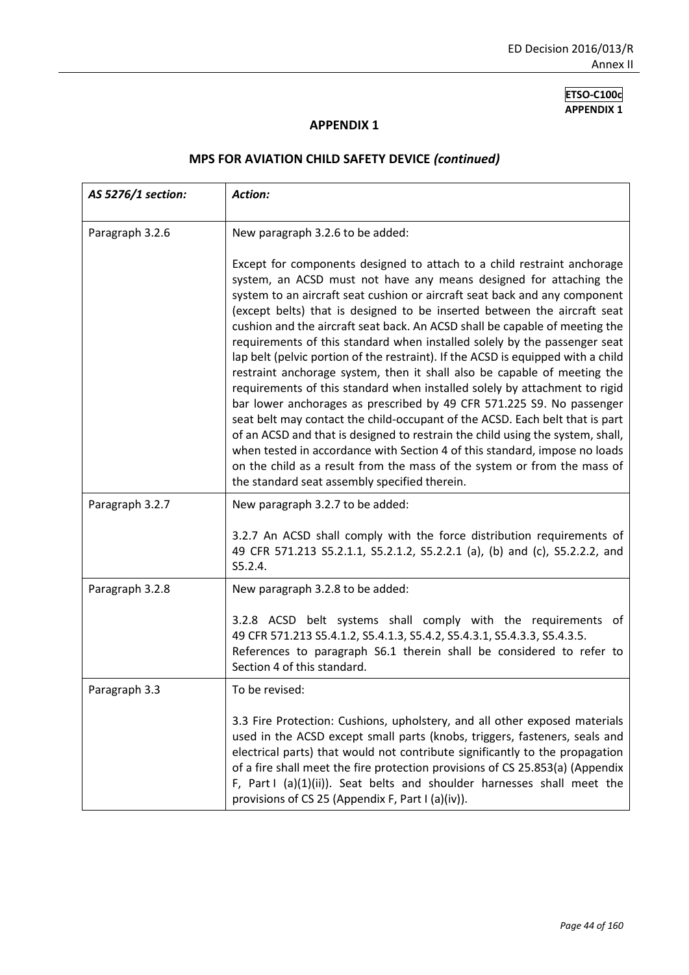#### **APPENDIX 1**

| AS 5276/1 section: | <b>Action:</b>                                                                                                                                                                                                                                                                                                                                                                                                                                                                                                                                                                                                                                                                                                                                                                                                                                                                                                                                                                                                                                                                                                                                                          |
|--------------------|-------------------------------------------------------------------------------------------------------------------------------------------------------------------------------------------------------------------------------------------------------------------------------------------------------------------------------------------------------------------------------------------------------------------------------------------------------------------------------------------------------------------------------------------------------------------------------------------------------------------------------------------------------------------------------------------------------------------------------------------------------------------------------------------------------------------------------------------------------------------------------------------------------------------------------------------------------------------------------------------------------------------------------------------------------------------------------------------------------------------------------------------------------------------------|
| Paragraph 3.2.6    | New paragraph 3.2.6 to be added:                                                                                                                                                                                                                                                                                                                                                                                                                                                                                                                                                                                                                                                                                                                                                                                                                                                                                                                                                                                                                                                                                                                                        |
|                    | Except for components designed to attach to a child restraint anchorage<br>system, an ACSD must not have any means designed for attaching the<br>system to an aircraft seat cushion or aircraft seat back and any component<br>(except belts) that is designed to be inserted between the aircraft seat<br>cushion and the aircraft seat back. An ACSD shall be capable of meeting the<br>requirements of this standard when installed solely by the passenger seat<br>lap belt (pelvic portion of the restraint). If the ACSD is equipped with a child<br>restraint anchorage system, then it shall also be capable of meeting the<br>requirements of this standard when installed solely by attachment to rigid<br>bar lower anchorages as prescribed by 49 CFR 571.225 S9. No passenger<br>seat belt may contact the child-occupant of the ACSD. Each belt that is part<br>of an ACSD and that is designed to restrain the child using the system, shall,<br>when tested in accordance with Section 4 of this standard, impose no loads<br>on the child as a result from the mass of the system or from the mass of<br>the standard seat assembly specified therein. |
| Paragraph 3.2.7    | New paragraph 3.2.7 to be added:                                                                                                                                                                                                                                                                                                                                                                                                                                                                                                                                                                                                                                                                                                                                                                                                                                                                                                                                                                                                                                                                                                                                        |
|                    | 3.2.7 An ACSD shall comply with the force distribution requirements of<br>49 CFR 571.213 S5.2.1.1, S5.2.1.2, S5.2.2.1 (a), (b) and (c), S5.2.2.2, and<br>S5.2.4.                                                                                                                                                                                                                                                                                                                                                                                                                                                                                                                                                                                                                                                                                                                                                                                                                                                                                                                                                                                                        |
| Paragraph 3.2.8    | New paragraph 3.2.8 to be added:                                                                                                                                                                                                                                                                                                                                                                                                                                                                                                                                                                                                                                                                                                                                                                                                                                                                                                                                                                                                                                                                                                                                        |
|                    | 3.2.8 ACSD belt systems shall comply with the requirements of<br>49 CFR 571.213 S5.4.1.2, S5.4.1.3, S5.4.2, S5.4.3.1, S5.4.3.3, S5.4.3.5.<br>References to paragraph S6.1 therein shall be considered to refer to<br>Section 4 of this standard.                                                                                                                                                                                                                                                                                                                                                                                                                                                                                                                                                                                                                                                                                                                                                                                                                                                                                                                        |
| Paragraph 3.3      | To be revised:                                                                                                                                                                                                                                                                                                                                                                                                                                                                                                                                                                                                                                                                                                                                                                                                                                                                                                                                                                                                                                                                                                                                                          |
|                    | 3.3 Fire Protection: Cushions, upholstery, and all other exposed materials<br>used in the ACSD except small parts (knobs, triggers, fasteners, seals and<br>electrical parts) that would not contribute significantly to the propagation<br>of a fire shall meet the fire protection provisions of CS 25.853(a) (Appendix<br>F, Part I (a)(1)(ii)). Seat belts and shoulder harnesses shall meet the<br>provisions of CS 25 (Appendix F, Part I (a)(iv)).                                                                                                                                                                                                                                                                                                                                                                                                                                                                                                                                                                                                                                                                                                               |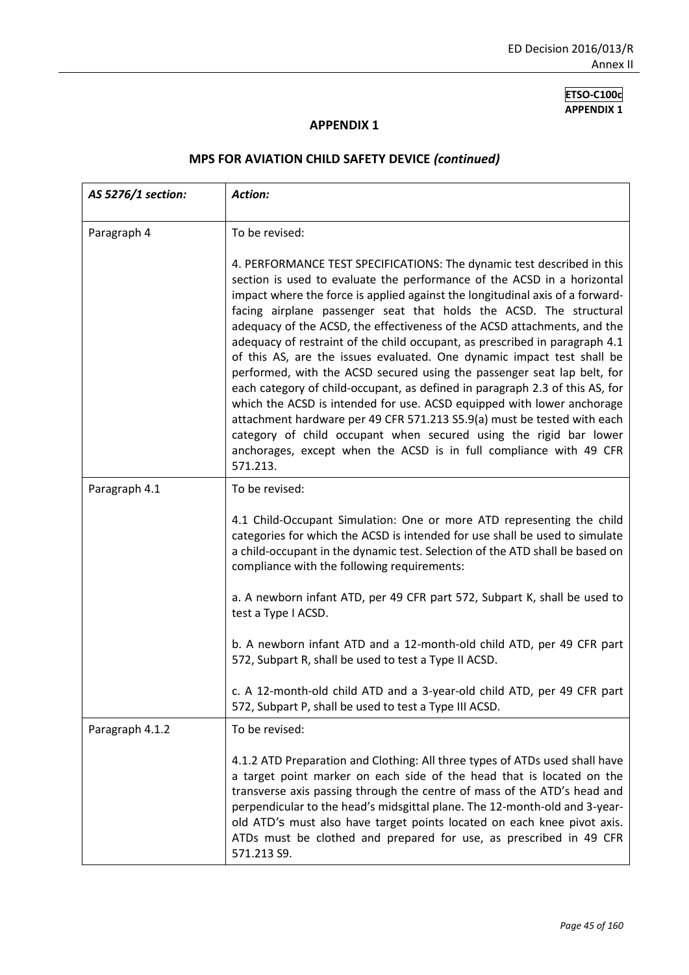#### **APPENDIX 1**

| AS 5276/1 section: | Action:                                                                                                                                                                                                                                                                                                                                                                                                                                                                                                                                                                                                                                                                                                                                                                                                                                                                                                                                                                                                              |
|--------------------|----------------------------------------------------------------------------------------------------------------------------------------------------------------------------------------------------------------------------------------------------------------------------------------------------------------------------------------------------------------------------------------------------------------------------------------------------------------------------------------------------------------------------------------------------------------------------------------------------------------------------------------------------------------------------------------------------------------------------------------------------------------------------------------------------------------------------------------------------------------------------------------------------------------------------------------------------------------------------------------------------------------------|
| Paragraph 4        | To be revised:                                                                                                                                                                                                                                                                                                                                                                                                                                                                                                                                                                                                                                                                                                                                                                                                                                                                                                                                                                                                       |
|                    | 4. PERFORMANCE TEST SPECIFICATIONS: The dynamic test described in this<br>section is used to evaluate the performance of the ACSD in a horizontal<br>impact where the force is applied against the longitudinal axis of a forward-<br>facing airplane passenger seat that holds the ACSD. The structural<br>adequacy of the ACSD, the effectiveness of the ACSD attachments, and the<br>adequacy of restraint of the child occupant, as prescribed in paragraph 4.1<br>of this AS, are the issues evaluated. One dynamic impact test shall be<br>performed, with the ACSD secured using the passenger seat lap belt, for<br>each category of child-occupant, as defined in paragraph 2.3 of this AS, for<br>which the ACSD is intended for use. ACSD equipped with lower anchorage<br>attachment hardware per 49 CFR 571.213 S5.9(a) must be tested with each<br>category of child occupant when secured using the rigid bar lower<br>anchorages, except when the ACSD is in full compliance with 49 CFR<br>571.213. |
| Paragraph 4.1      | To be revised:                                                                                                                                                                                                                                                                                                                                                                                                                                                                                                                                                                                                                                                                                                                                                                                                                                                                                                                                                                                                       |
|                    | 4.1 Child-Occupant Simulation: One or more ATD representing the child<br>categories for which the ACSD is intended for use shall be used to simulate<br>a child-occupant in the dynamic test. Selection of the ATD shall be based on<br>compliance with the following requirements:                                                                                                                                                                                                                                                                                                                                                                                                                                                                                                                                                                                                                                                                                                                                  |
|                    | a. A newborn infant ATD, per 49 CFR part 572, Subpart K, shall be used to<br>test a Type I ACSD.                                                                                                                                                                                                                                                                                                                                                                                                                                                                                                                                                                                                                                                                                                                                                                                                                                                                                                                     |
|                    | b. A newborn infant ATD and a 12-month-old child ATD, per 49 CFR part<br>572, Subpart R, shall be used to test a Type II ACSD.                                                                                                                                                                                                                                                                                                                                                                                                                                                                                                                                                                                                                                                                                                                                                                                                                                                                                       |
|                    | c. A 12-month-old child ATD and a 3-year-old child ATD, per 49 CFR part<br>572, Subpart P, shall be used to test a Type III ACSD.                                                                                                                                                                                                                                                                                                                                                                                                                                                                                                                                                                                                                                                                                                                                                                                                                                                                                    |
| Paragraph 4.1.2    | To be revised:                                                                                                                                                                                                                                                                                                                                                                                                                                                                                                                                                                                                                                                                                                                                                                                                                                                                                                                                                                                                       |
|                    | 4.1.2 ATD Preparation and Clothing: All three types of ATDs used shall have<br>a target point marker on each side of the head that is located on the<br>transverse axis passing through the centre of mass of the ATD's head and<br>perpendicular to the head's midsgittal plane. The 12-month-old and 3-year-<br>old ATD's must also have target points located on each knee pivot axis.<br>ATDs must be clothed and prepared for use, as prescribed in 49 CFR<br>571.213 S9.                                                                                                                                                                                                                                                                                                                                                                                                                                                                                                                                       |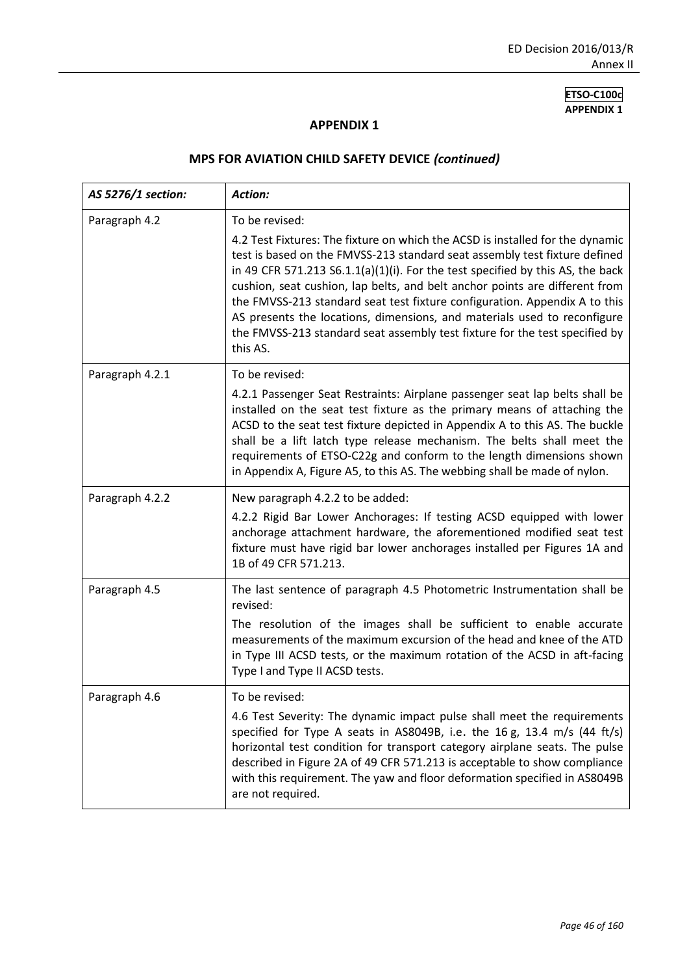#### **APPENDIX 1**

| AS 5276/1 section: | <b>Action:</b>                                                                                                                                                                                                                                                                                                                                                                                                                                                                                                                                                                                      |
|--------------------|-----------------------------------------------------------------------------------------------------------------------------------------------------------------------------------------------------------------------------------------------------------------------------------------------------------------------------------------------------------------------------------------------------------------------------------------------------------------------------------------------------------------------------------------------------------------------------------------------------|
| Paragraph 4.2      | To be revised:<br>4.2 Test Fixtures: The fixture on which the ACSD is installed for the dynamic<br>test is based on the FMVSS-213 standard seat assembly test fixture defined<br>in 49 CFR 571.213 S6.1.1(a)(1)(i). For the test specified by this AS, the back<br>cushion, seat cushion, lap belts, and belt anchor points are different from<br>the FMVSS-213 standard seat test fixture configuration. Appendix A to this<br>AS presents the locations, dimensions, and materials used to reconfigure<br>the FMVSS-213 standard seat assembly test fixture for the test specified by<br>this AS. |
| Paragraph 4.2.1    | To be revised:<br>4.2.1 Passenger Seat Restraints: Airplane passenger seat lap belts shall be<br>installed on the seat test fixture as the primary means of attaching the<br>ACSD to the seat test fixture depicted in Appendix A to this AS. The buckle<br>shall be a lift latch type release mechanism. The belts shall meet the<br>requirements of ETSO-C22g and conform to the length dimensions shown<br>in Appendix A, Figure A5, to this AS. The webbing shall be made of nylon.                                                                                                             |
| Paragraph 4.2.2    | New paragraph 4.2.2 to be added:<br>4.2.2 Rigid Bar Lower Anchorages: If testing ACSD equipped with lower<br>anchorage attachment hardware, the aforementioned modified seat test<br>fixture must have rigid bar lower anchorages installed per Figures 1A and<br>1B of 49 CFR 571.213.                                                                                                                                                                                                                                                                                                             |
| Paragraph 4.5      | The last sentence of paragraph 4.5 Photometric Instrumentation shall be<br>revised:<br>The resolution of the images shall be sufficient to enable accurate<br>measurements of the maximum excursion of the head and knee of the ATD<br>in Type III ACSD tests, or the maximum rotation of the ACSD in aft-facing<br>Type I and Type II ACSD tests.                                                                                                                                                                                                                                                  |
| Paragraph 4.6      | To be revised:<br>4.6 Test Severity: The dynamic impact pulse shall meet the requirements<br>specified for Type A seats in AS8049B, i.e. the 16 g, 13.4 m/s (44 ft/s)<br>horizontal test condition for transport category airplane seats. The pulse<br>described in Figure 2A of 49 CFR 571.213 is acceptable to show compliance<br>with this requirement. The yaw and floor deformation specified in AS8049B<br>are not required.                                                                                                                                                                  |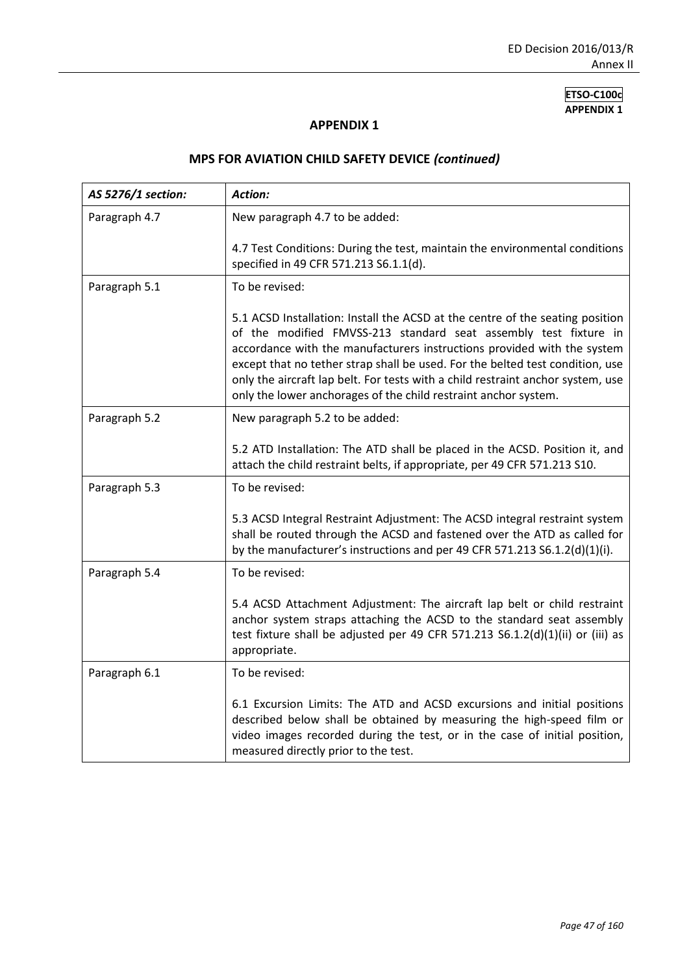#### **APPENDIX 1**

| AS 5276/1 section: | Action:                                                                                                                                                                                                                                                                                                                                                                                                                                                             |
|--------------------|---------------------------------------------------------------------------------------------------------------------------------------------------------------------------------------------------------------------------------------------------------------------------------------------------------------------------------------------------------------------------------------------------------------------------------------------------------------------|
| Paragraph 4.7      | New paragraph 4.7 to be added:                                                                                                                                                                                                                                                                                                                                                                                                                                      |
|                    | 4.7 Test Conditions: During the test, maintain the environmental conditions<br>specified in 49 CFR 571.213 S6.1.1(d).                                                                                                                                                                                                                                                                                                                                               |
| Paragraph 5.1      | To be revised:                                                                                                                                                                                                                                                                                                                                                                                                                                                      |
|                    | 5.1 ACSD Installation: Install the ACSD at the centre of the seating position<br>of the modified FMVSS-213 standard seat assembly test fixture in<br>accordance with the manufacturers instructions provided with the system<br>except that no tether strap shall be used. For the belted test condition, use<br>only the aircraft lap belt. For tests with a child restraint anchor system, use<br>only the lower anchorages of the child restraint anchor system. |
| Paragraph 5.2      | New paragraph 5.2 to be added:                                                                                                                                                                                                                                                                                                                                                                                                                                      |
|                    | 5.2 ATD Installation: The ATD shall be placed in the ACSD. Position it, and<br>attach the child restraint belts, if appropriate, per 49 CFR 571.213 S10.                                                                                                                                                                                                                                                                                                            |
| Paragraph 5.3      | To be revised:                                                                                                                                                                                                                                                                                                                                                                                                                                                      |
|                    | 5.3 ACSD Integral Restraint Adjustment: The ACSD integral restraint system<br>shall be routed through the ACSD and fastened over the ATD as called for<br>by the manufacturer's instructions and per 49 CFR 571.213 S6.1.2(d)(1)(i).                                                                                                                                                                                                                                |
| Paragraph 5.4      | To be revised:                                                                                                                                                                                                                                                                                                                                                                                                                                                      |
|                    | 5.4 ACSD Attachment Adjustment: The aircraft lap belt or child restraint<br>anchor system straps attaching the ACSD to the standard seat assembly<br>test fixture shall be adjusted per 49 CFR 571.213 S6.1.2(d)(1)(ii) or (iii) as<br>appropriate.                                                                                                                                                                                                                 |
| Paragraph 6.1      | To be revised:                                                                                                                                                                                                                                                                                                                                                                                                                                                      |
|                    | 6.1 Excursion Limits: The ATD and ACSD excursions and initial positions<br>described below shall be obtained by measuring the high-speed film or<br>video images recorded during the test, or in the case of initial position,<br>measured directly prior to the test.                                                                                                                                                                                              |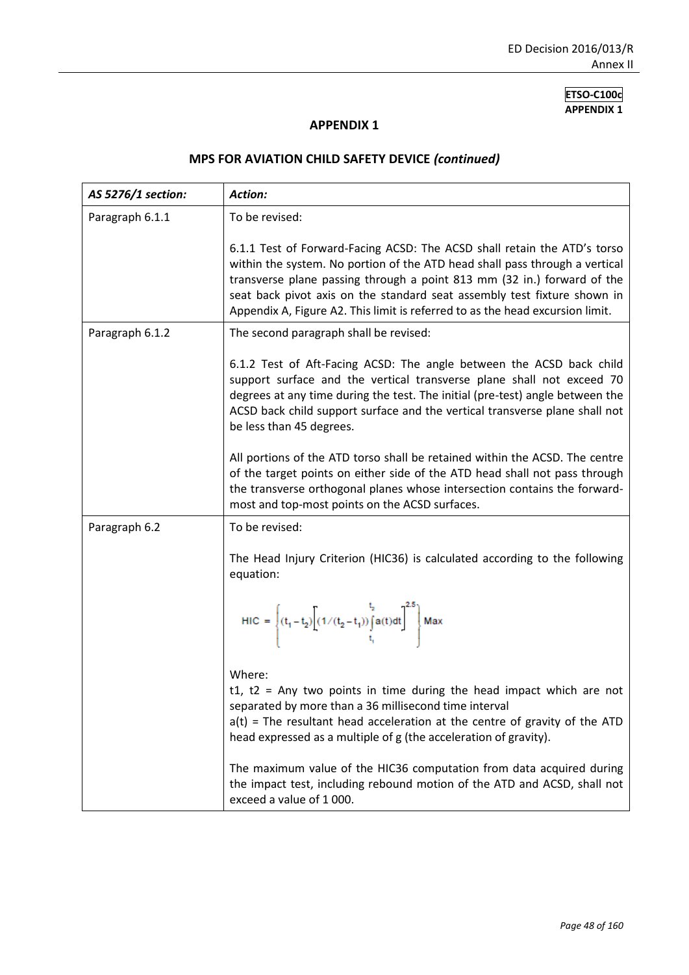### **APPENDIX 1**

| AS 5276/1 section: | <b>Action:</b>                                                                                                                                                                                                                                                                                                                                                                                  |
|--------------------|-------------------------------------------------------------------------------------------------------------------------------------------------------------------------------------------------------------------------------------------------------------------------------------------------------------------------------------------------------------------------------------------------|
| Paragraph 6.1.1    | To be revised:                                                                                                                                                                                                                                                                                                                                                                                  |
|                    | 6.1.1 Test of Forward-Facing ACSD: The ACSD shall retain the ATD's torso<br>within the system. No portion of the ATD head shall pass through a vertical<br>transverse plane passing through a point 813 mm (32 in.) forward of the<br>seat back pivot axis on the standard seat assembly test fixture shown in<br>Appendix A, Figure A2. This limit is referred to as the head excursion limit. |
| Paragraph 6.1.2    | The second paragraph shall be revised:                                                                                                                                                                                                                                                                                                                                                          |
|                    | 6.1.2 Test of Aft-Facing ACSD: The angle between the ACSD back child<br>support surface and the vertical transverse plane shall not exceed 70<br>degrees at any time during the test. The initial (pre-test) angle between the<br>ACSD back child support surface and the vertical transverse plane shall not<br>be less than 45 degrees.                                                       |
|                    | All portions of the ATD torso shall be retained within the ACSD. The centre<br>of the target points on either side of the ATD head shall not pass through<br>the transverse orthogonal planes whose intersection contains the forward-<br>most and top-most points on the ACSD surfaces.                                                                                                        |
| Paragraph 6.2      | To be revised:                                                                                                                                                                                                                                                                                                                                                                                  |
|                    | The Head Injury Criterion (HIC36) is calculated according to the following<br>equation:<br>HIC = $\left\{ (t_1 - t_2) \left[ (1/(t_2 - t_1)) \int_{t_1}^{t_2} a(t) dt \right]^{2.5} \right\}$ Max                                                                                                                                                                                               |
|                    |                                                                                                                                                                                                                                                                                                                                                                                                 |
|                    | Where:<br>t1, $t2$ = Any two points in time during the head impact which are not<br>separated by more than a 36 millisecond time interval<br>$a(t)$ = The resultant head acceleration at the centre of gravity of the ATD<br>head expressed as a multiple of g (the acceleration of gravity).                                                                                                   |
|                    | The maximum value of the HIC36 computation from data acquired during<br>the impact test, including rebound motion of the ATD and ACSD, shall not<br>exceed a value of 1000.                                                                                                                                                                                                                     |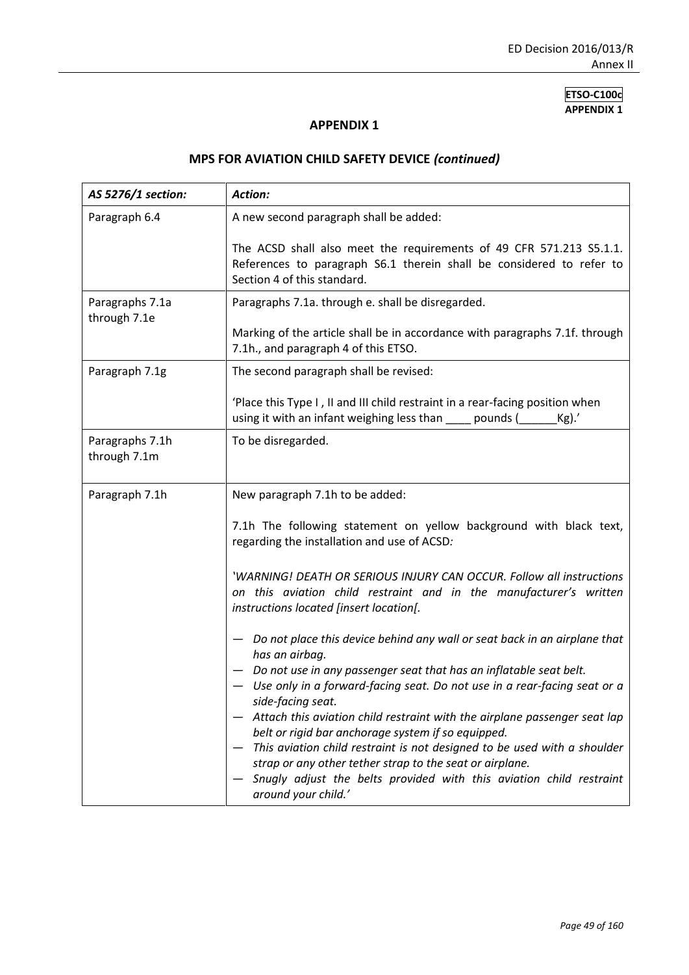#### **APPENDIX 1**

| AS 5276/1 section:              | Action:                                                                                                                                                                                                     |  |
|---------------------------------|-------------------------------------------------------------------------------------------------------------------------------------------------------------------------------------------------------------|--|
| Paragraph 6.4                   | A new second paragraph shall be added:                                                                                                                                                                      |  |
|                                 | The ACSD shall also meet the requirements of 49 CFR 571.213 S5.1.1.<br>References to paragraph S6.1 therein shall be considered to refer to<br>Section 4 of this standard.                                  |  |
| Paragraphs 7.1a<br>through 7.1e | Paragraphs 7.1a. through e. shall be disregarded.<br>Marking of the article shall be in accordance with paragraphs 7.1f. through                                                                            |  |
|                                 | 7.1h., and paragraph 4 of this ETSO.                                                                                                                                                                        |  |
| Paragraph 7.1g                  | The second paragraph shall be revised:                                                                                                                                                                      |  |
|                                 | 'Place this Type I, II and III child restraint in a rear-facing position when<br>using it with an infant weighing less than sumple pounds (<br>$Kg$ ).'                                                     |  |
| Paragraphs 7.1h<br>through 7.1m | To be disregarded.                                                                                                                                                                                          |  |
| Paragraph 7.1h                  | New paragraph 7.1h to be added:                                                                                                                                                                             |  |
|                                 | 7.1h The following statement on yellow background with black text,<br>regarding the installation and use of ACSD:                                                                                           |  |
|                                 | 'WARNING! DEATH OR SERIOUS INJURY CAN OCCUR. Follow all instructions<br>on this aviation child restraint and in the manufacturer's written<br>instructions located [insert location[.                       |  |
|                                 | Do not place this device behind any wall or seat back in an airplane that<br>has an airbag.                                                                                                                 |  |
|                                 | Do not use in any passenger seat that has an inflatable seat belt.<br>Use only in a forward-facing seat. Do not use in a rear-facing seat or a                                                              |  |
|                                 | side-facing seat.<br>Attach this aviation child restraint with the airplane passenger seat lap<br>belt or rigid bar anchorage system if so equipped.                                                        |  |
|                                 | This aviation child restraint is not designed to be used with a shoulder<br>strap or any other tether strap to the seat or airplane.<br>Snugly adjust the belts provided with this aviation child restraint |  |
|                                 | around your child.'                                                                                                                                                                                         |  |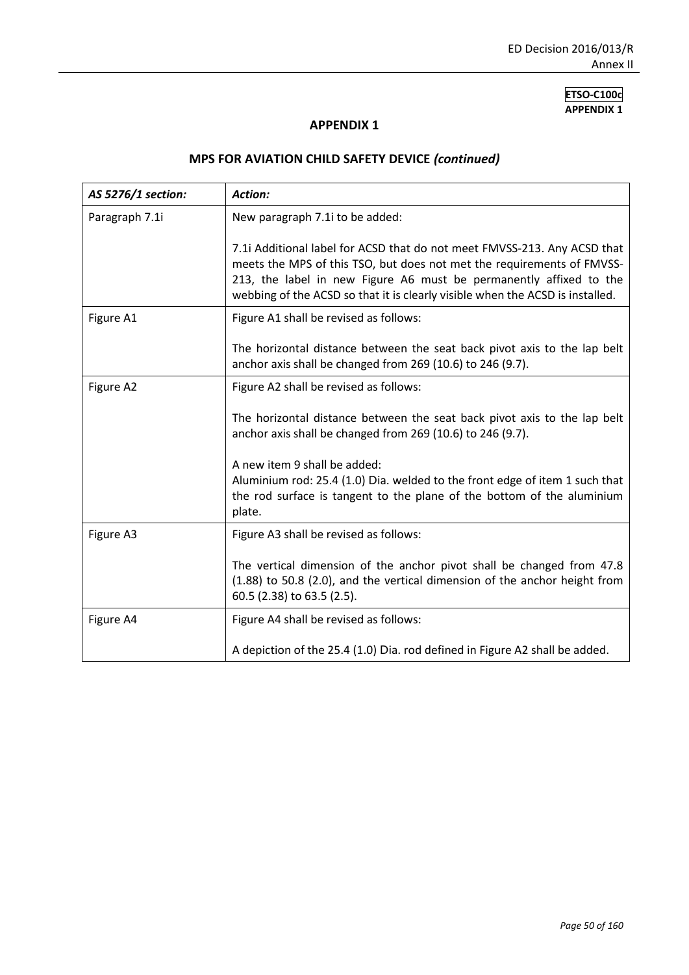#### **APPENDIX 1**

| AS 5276/1 section: | <b>Action:</b>                                                                                                                                                                                                                                                                                            |
|--------------------|-----------------------------------------------------------------------------------------------------------------------------------------------------------------------------------------------------------------------------------------------------------------------------------------------------------|
| Paragraph 7.1i     | New paragraph 7.1i to be added:                                                                                                                                                                                                                                                                           |
|                    | 7.1i Additional label for ACSD that do not meet FMVSS-213. Any ACSD that<br>meets the MPS of this TSO, but does not met the requirements of FMVSS-<br>213, the label in new Figure A6 must be permanently affixed to the<br>webbing of the ACSD so that it is clearly visible when the ACSD is installed. |
| Figure A1          | Figure A1 shall be revised as follows:                                                                                                                                                                                                                                                                    |
|                    | The horizontal distance between the seat back pivot axis to the lap belt<br>anchor axis shall be changed from 269 (10.6) to 246 (9.7).                                                                                                                                                                    |
| Figure A2          | Figure A2 shall be revised as follows:                                                                                                                                                                                                                                                                    |
|                    | The horizontal distance between the seat back pivot axis to the lap belt<br>anchor axis shall be changed from 269 (10.6) to 246 (9.7).                                                                                                                                                                    |
|                    | A new item 9 shall be added:<br>Aluminium rod: 25.4 (1.0) Dia. welded to the front edge of item 1 such that<br>the rod surface is tangent to the plane of the bottom of the aluminium<br>plate.                                                                                                           |
| Figure A3          | Figure A3 shall be revised as follows:                                                                                                                                                                                                                                                                    |
|                    | The vertical dimension of the anchor pivot shall be changed from 47.8<br>(1.88) to 50.8 (2.0), and the vertical dimension of the anchor height from<br>60.5 (2.38) to 63.5 (2.5).                                                                                                                         |
| Figure A4          | Figure A4 shall be revised as follows:                                                                                                                                                                                                                                                                    |
|                    | A depiction of the 25.4 (1.0) Dia. rod defined in Figure A2 shall be added.                                                                                                                                                                                                                               |